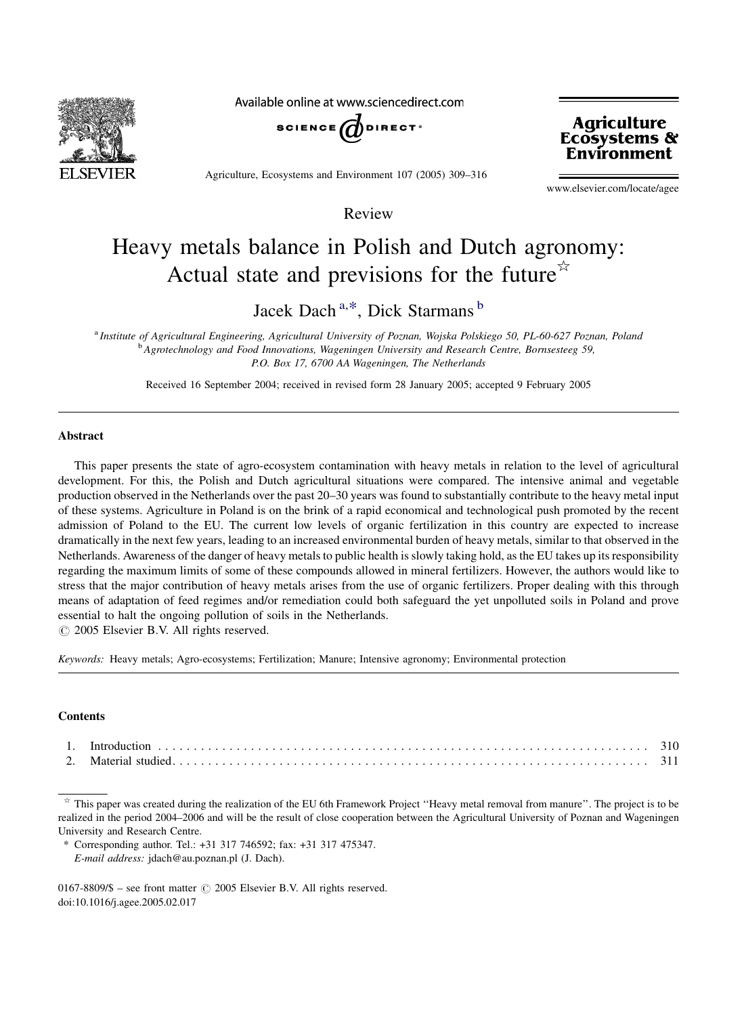

Available online at www.sciencedirect.com



Agriculture, Ecosystems and Environment 107 (2005) 309–316



www.elsevier.com/locate/agee

Review

# Heavy metals balance in Polish and Dutch agronomy: Actual state and previsions for the future<sup> $\star$ </sup>

Jacek Dach<sup>a,\*</sup>, Dick Starmans <sup>b</sup>

a Institute of Agricultural Engineering, Agricultural University of Poznan, Wojska Polskiego 50, PL-60-627 Poznan, Poland <sup>b</sup> Agrotechnology and Food Innovations, Wageningen University and Research Centre, Bornsesteeg 59, P.O. Box 17, 6700 AA Wageningen, The Netherlands

Received 16 September 2004; received in revised form 28 January 2005; accepted 9 February 2005

## Abstract

This paper presents the state of agro-ecosystem contamination with heavy metals in relation to the level of agricultural development. For this, the Polish and Dutch agricultural situations were compared. The intensive animal and vegetable production observed in the Netherlands over the past 20–30 years was found to substantially contribute to the heavy metal input of these systems. Agriculture in Poland is on the brink of a rapid economical and technological push promoted by the recent admission of Poland to the EU. The current low levels of organic fertilization in this country are expected to increase dramatically in the next few years, leading to an increased environmental burden of heavy metals, similar to that observed in the Netherlands. Awareness of the danger of heavy metals to public health is slowly taking hold, as the EU takes up its responsibility regarding the maximum limits of some of these compounds allowed in mineral fertilizers. However, the authors would like to stress that the major contribution of heavy metals arises from the use of organic fertilizers. Proper dealing with this through means of adaptation of feed regimes and/or remediation could both safeguard the yet unpolluted soils in Poland and prove essential to halt the ongoing pollution of soils in the Netherlands.

 $\odot$  2005 Elsevier B.V. All rights reserved.

Keywords: Heavy metals; Agro-ecosystems; Fertilization; Manure; Intensive agronomy; Environmental protection

## **Contents**

 $*$  This paper was created during the realization of the EU 6th Framework Project "Heavy metal removal from manure". The project is to be realized in the period 2004–2006 and will be the result of close cooperation between the Agricultural University of Poznan and Wageningen University and Research Centre.

<sup>\*</sup> Corresponding author. Tel.: +31 317 746592; fax: +31 317 475347. E-mail address: jdach@au.poznan.pl (J. Dach).

<sup>0167-8809/\$ –</sup> see front matter  $\odot$  2005 Elsevier B.V. All rights reserved. doi:10.1016/j.agee.2005.02.017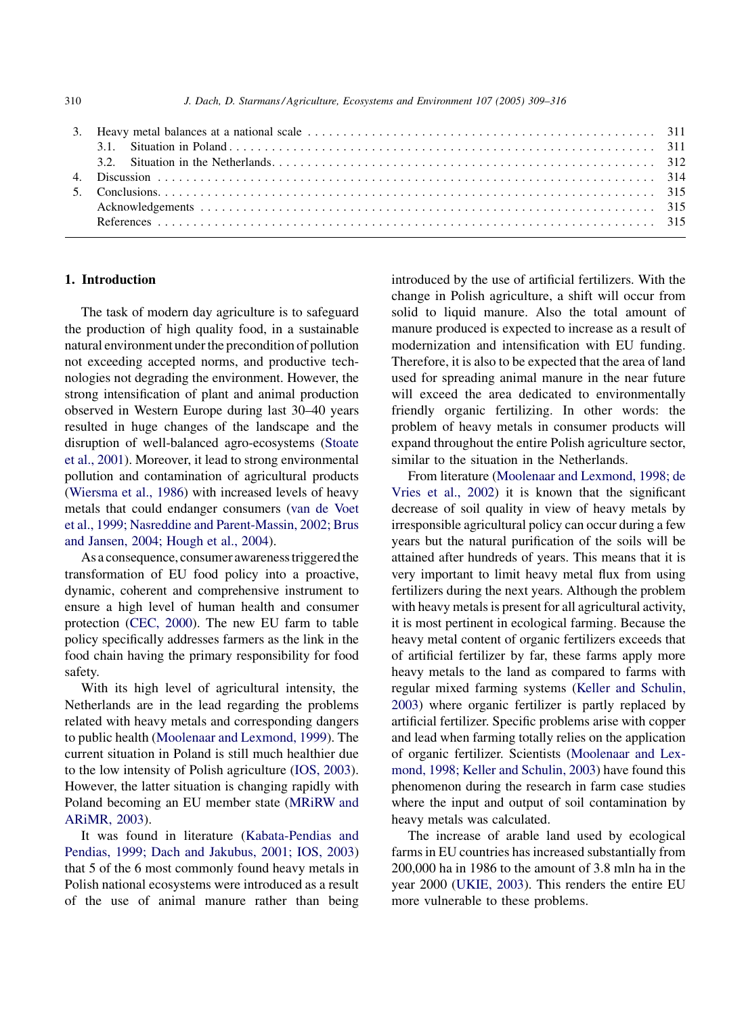## 1. Introduction

The task of modern day agriculture is to safeguard the production of high quality food, in a sustainable natural environment under the precondition of pollution not exceeding accepted norms, and productive technologies not degrading the environment. However, the strong intensification of plant and animal production observed in Western Europe during last 30–40 years resulted in huge changes of the landscape and the disruption of well-balanced agro-ecosystems ([Stoate](#page-7-0) [et al., 2001\)](#page-7-0). Moreover, it lead to strong environmental pollution and contamination of agricultural products ([Wiersma et al., 1986](#page-7-0)) with increased levels of heavy metals that could endanger consumers ([van de Voet](#page-7-0) [et al., 1999; Nasreddine and Parent-Massin, 2002; Brus](#page-7-0) [and Jansen, 2004; Hough et al., 2004\)](#page-7-0).

As a consequence, consumer awareness triggered the transformation of EU food policy into a proactive, dynamic, coherent and comprehensive instrument to ensure a high level of human health and consumer protection [\(CEC, 2000\)](#page-6-0). The new EU farm to table policy specifically addresses farmers as the link in the food chain having the primary responsibility for food safety.

With its high level of agricultural intensity, the Netherlands are in the lead regarding the problems related with heavy metals and corresponding dangers to public health [\(Moolenaar and Lexmond, 1999](#page-7-0)). The current situation in Poland is still much healthier due to the low intensity of Polish agriculture ([IOS, 2003\)](#page-6-0). However, the latter situation is changing rapidly with Poland becoming an EU member state ([MRiRW and](#page-7-0) [ARiMR, 2003](#page-7-0)).

It was found in literature ([Kabata-Pendias and](#page-7-0) [Pendias, 1999; Dach and Jakubus, 2001; IOS, 2003](#page-7-0)) that 5 of the 6 most commonly found heavy metals in Polish national ecosystems were introduced as a result of the use of animal manure rather than being introduced by the use of artificial fertilizers. With the change in Polish agriculture, a shift will occur from solid to liquid manure. Also the total amount of manure produced is expected to increase as a result of modernization and intensification with EU funding. Therefore, it is also to be expected that the area of land used for spreading animal manure in the near future will exceed the area dedicated to environmentally friendly organic fertilizing. In other words: the problem of heavy metals in consumer products will expand throughout the entire Polish agriculture sector, similar to the situation in the Netherlands.

From literature [\(Moolenaar and Lexmond, 1998; de](#page-7-0) [Vries et al., 2002\)](#page-7-0) it is known that the significant decrease of soil quality in view of heavy metals by irresponsible agricultural policy can occur during a few years but the natural purification of the soils will be attained after hundreds of years. This means that it is very important to limit heavy metal flux from using fertilizers during the next years. Although the problem with heavy metals is present for all agricultural activity, it is most pertinent in ecological farming. Because the heavy metal content of organic fertilizers exceeds that of artificial fertilizer by far, these farms apply more heavy metals to the land as compared to farms with regular mixed farming systems ([Keller and Schulin,](#page-7-0) [2003](#page-7-0)) where organic fertilizer is partly replaced by artificial fertilizer. Specific problems arise with copper and lead when farming totally relies on the application of organic fertilizer. Scientists ([Moolenaar and Lex](#page-7-0)[mond, 1998; Keller and Schulin, 2003](#page-7-0)) have found this phenomenon during the research in farm case studies where the input and output of soil contamination by heavy metals was calculated.

The increase of arable land used by ecological farms in EU countries has increased substantially from 200,000 ha in 1986 to the amount of 3.8 mln ha in the year 2000 ([UKIE, 2003](#page-7-0)). This renders the entire EU more vulnerable to these problems.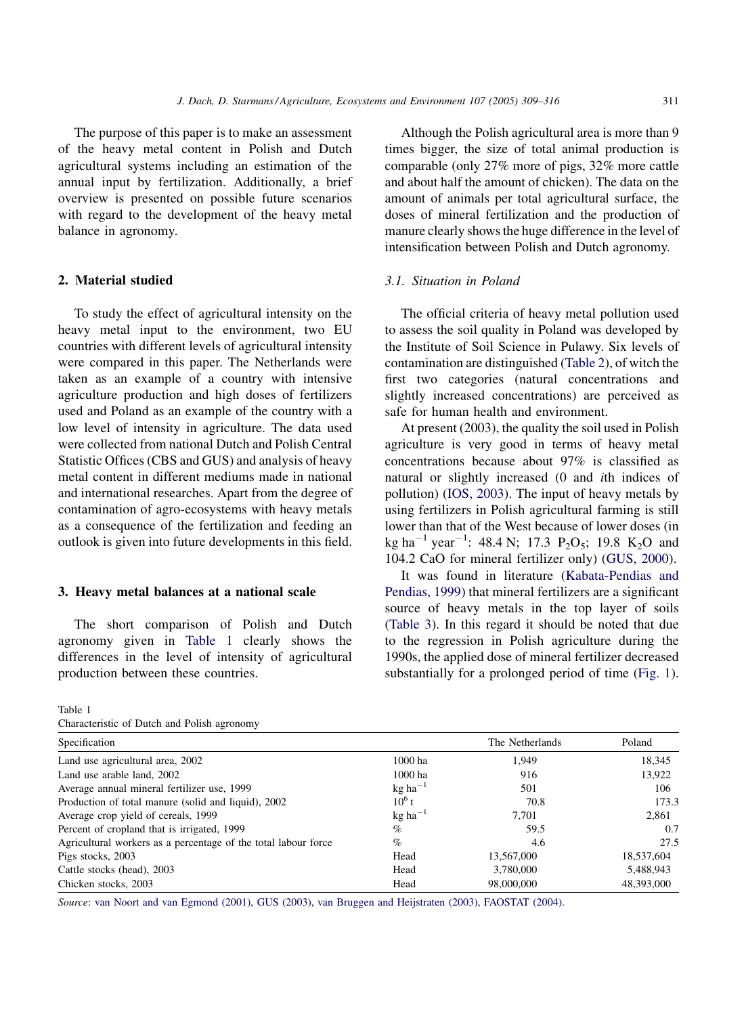The purpose of this paper is to make an assessment of the heavy metal content in Polish and Dutch agricultural systems including an estimation of the annual input by fertilization. Additionally, a brief overview is presented on possible future scenarios with regard to the development of the heavy metal balance in agronomy.

## 2. Material studied

To study the effect of agricultural intensity on the heavy metal input to the environment, two EU countries with different levels of agricultural intensity were compared in this paper. The Netherlands were taken as an example of a country with intensive agriculture production and high doses of fertilizers used and Poland as an example of the country with a low level of intensity in agriculture. The data used were collected from national Dutch and Polish Central Statistic Offices (CBS and GUS) and analysis of heavy metal content in different mediums made in national and international researches. Apart from the degree of contamination of agro-ecosystems with heavy metals as a consequence of the fertilization and feeding an outlook is given into future developments in this field.

## 3. Heavy metal balances at a national scale

The short comparison of Polish and Dutch agronomy given in Table 1 clearly shows the differences in the level of intensity of agricultural production between these countries.

Table 1

| Characteristic of Dutch and Polish agronomy |  |  |  |  |  |  |
|---------------------------------------------|--|--|--|--|--|--|
|---------------------------------------------|--|--|--|--|--|--|

Although the Polish agricultural area is more than 9 times bigger, the size of total animal production is comparable (only 27% more of pigs, 32% more cattle and about half the amount of chicken). The data on the amount of animals per total agricultural surface, the doses of mineral fertilization and the production of manure clearly shows the huge difference in the level of intensification between Polish and Dutch agronomy.

## 3.1. Situation in Poland

The official criteria of heavy metal pollution used to assess the soil quality in Poland was developed by the Institute of Soil Science in Pulawy. Six levels of contamination are distinguished ([Table 2\)](#page-3-0), of witch the first two categories (natural concentrations and slightly increased concentrations) are perceived as safe for human health and environment.

At present (2003), the quality the soil used in Polish agriculture is very good in terms of heavy metal concentrations because about 97% is classified as natural or slightly increased (0 and ith indices of pollution) [\(IOS, 2003\)](#page-6-0). The input of heavy metals by using fertilizers in Polish agricultural farming is still lower than that of the West because of lower doses (in kg ha<sup>-1</sup> year<sup>-1</sup>: 48.4 N; 17.3 P<sub>2</sub>O<sub>5</sub>; 19.8 K<sub>2</sub>O and 104.2 CaO for mineral fertilizer only) ([GUS, 2000](#page-6-0)).

It was found in literature ([Kabata-Pendias and](#page-7-0) [Pendias, 1999](#page-7-0)) that mineral fertilizers are a significant source of heavy metals in the top layer of soils ([Table 3\)](#page-3-0). In this regard it should be noted that due to the regression in Polish agriculture during the 1990s, the applied dose of mineral fertilizer decreased substantially for a prolonged period of time ([Fig. 1](#page-4-0)).

| Specification                                                  |                       | The Netherlands | Poland     |
|----------------------------------------------------------------|-----------------------|-----------------|------------|
| Land use agricultural area, 2002                               | 1000 ha               | 1.949           | 18,345     |
| Land use arable land, 2002                                     | 1000 ha               | 916             | 13,922     |
| Average annual mineral fertilizer use, 1999                    | $kg$ ha <sup>-1</sup> | 501             | 106        |
| Production of total manure (solid and liquid), 2002            | $10^6$ t              | 70.8            | 173.3      |
| Average crop yield of cereals, 1999                            | $kg$ ha <sup>-1</sup> | 7.701           | 2.861      |
| Percent of cropland that is irrigated, 1999                    | $\%$                  | 59.5            | 0.7        |
| Agricultural workers as a percentage of the total labour force | $\%$                  | 4.6             | 27.5       |
| Pigs stocks, 2003                                              | Head                  | 13,567,000      | 18,537,604 |
| Cattle stocks (head), 2003                                     | Head                  | 3,780,000       | 5,488,943  |
| Chicken stocks, 2003                                           | Head                  | 98,000,000      | 48,393,000 |

Source: [van Noort and van Egmond \(2001\)](#page-7-0), [GUS \(2003\),](#page-6-0) [van Bruggen and Heijstraten \(2003\),](#page-7-0) [FAOSTAT \(2004\)](#page-6-0).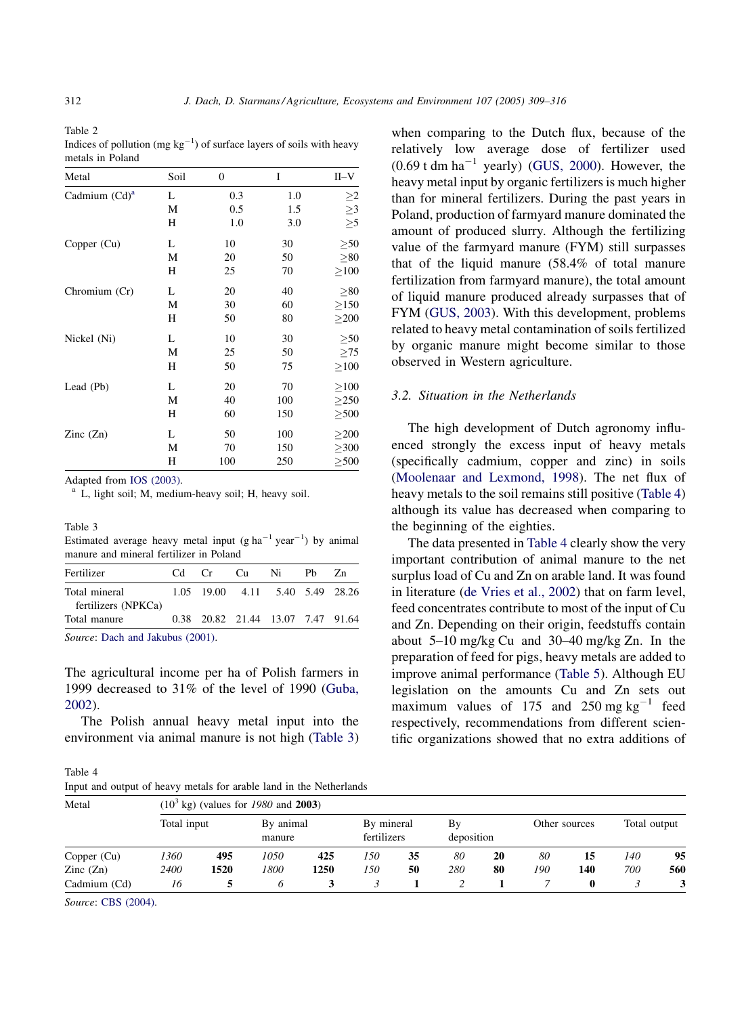<span id="page-3-0"></span>Table 2

| Indices of pollution (mg $kg^{-1}$ ) of surface layers of soils with heavy |  |  |
|----------------------------------------------------------------------------|--|--|
| metals in Poland                                                           |  |  |

| Metal            | Soil | 0   | I   | II–V       |
|------------------|------|-----|-----|------------|
| Cadmium $(Cd)^a$ | L    | 0.3 | 1.0 | $\geq$     |
|                  | М    | 0.5 | 1.5 | $\geq$ 3   |
|                  | Н    | 1.0 | 3.0 | $\geq 5$   |
| Copper (Cu)      | L    | 10  | 30  | > 50       |
|                  | М    | 20  | 50  | > 80       |
|                  | Н    | 25  | 70  | >100       |
| Chromium (Cr)    | L    | 20  | 40  | > 80       |
|                  | М    | 30  | 60  | $\geq$ 150 |
|                  | Н    | 50  | 80  | >200       |
| Nickel (Ni)      | L    | 10  | 30  | > 50       |
|                  | М    | 25  | 50  | >75        |
|                  | Н    | 50  | 75  | >100       |
| Lead (Pb)        | L    | 20  | 70  | >100       |
|                  | М    | 40  | 100 | $\geq$ 250 |
|                  | Н    | 60  | 150 | > 500      |
| Zinc $(Zn)$      | L    | 50  | 100 | $\geq$ 200 |
|                  | М    | 70  | 150 | $\geq$ 300 |
|                  | Н    | 100 | 250 | $\geq 500$ |

Adapted from [IOS \(2003\).](#page-6-0)<br><sup>a</sup> L, light soil; M, medium-heavy soil; H, heavy soil.

#### Table 3

| Estimated average heavy metal input (g ha <sup>-1</sup> year <sup>-1</sup> ) by animal |  |  |  |  |
|----------------------------------------------------------------------------------------|--|--|--|--|
| manure and mineral fertilizer in Poland                                                |  |  |  |  |

| Fertilizer                              | Cd. | Cr | Cu. | Ni                                | Ph. | Zn. |  |  |
|-----------------------------------------|-----|----|-----|-----------------------------------|-----|-----|--|--|
| Total mineral                           |     |    |     | 1.05 19.00 4.11 5.40 5.49 28.26   |     |     |  |  |
| fertilizers (NPKCa)                     |     |    |     |                                   |     |     |  |  |
| Total manure                            |     |    |     | 0.38 20.82 21.44 13.07 7.47 91.64 |     |     |  |  |
| $P_1, \ldots, P_{n-1}$ and Links (2001) |     |    |     |                                   |     |     |  |  |

Source: [Dach and Jakubus \(2001\)](#page-6-0).

The agricultural income per ha of Polish farmers in 1999 decreased to 31% of the level of 1990 ([Guba,](#page-6-0) [2002](#page-6-0)).

The Polish annual heavy metal input into the environment via animal manure is not high (Table 3)

Table 4 Input and output of heavy metals for arable land in the Netherlands

when comparing to the Dutch flux, because of the relatively low average dose of fertilizer used  $(0.69 \text{ t dm ha}^{-1}$  yearly) ([GUS, 2000\)](#page-6-0). However, the heavy metal input by organic fertilizers is much higher than for mineral fertilizers. During the past years in Poland, production of farmyard manure dominated the amount of produced slurry. Although the fertilizing value of the farmyard manure (FYM) still surpasses that of the liquid manure (58.4% of total manure fertilization from farmyard manure), the total amount of liquid manure produced already surpasses that of FYM [\(GUS, 2003](#page-6-0)). With this development, problems related to heavy metal contamination of soils fertilized by organic manure might become similar to those observed in Western agriculture.

## 3.2. Situation in the Netherlands

The high development of Dutch agronomy influenced strongly the excess input of heavy metals (specifically cadmium, copper and zinc) in soils ([Moolenaar and Lexmond, 1998\)](#page-7-0). The net flux of heavy metals to the soil remains still positive (Table 4) although its value has decreased when comparing to the beginning of the eighties.

The data presented in Table 4 clearly show the very important contribution of animal manure to the net surplus load of Cu and Zn on arable land. It was found in literature ([de Vries et al., 2002](#page-6-0)) that on farm level, feed concentrates contribute to most of the input of Cu and Zn. Depending on their origin, feedstuffs contain about 5–10 mg/kg Cu and 30–40 mg/kg Zn. In the preparation of feed for pigs, heavy metals are added to improve animal performance [\(Table 5](#page-4-0)). Although EU legislation on the amounts Cu and Zn sets out maximum values of 175 and 250 mg  $kg^{-1}$  feed respectively, recommendations from different scientific organizations showed that no extra additions of

| Metal                    | $(103$ kg) (values for 1980 and 2003) |      |                     |      |                           |    |     |            |     |               |            |              |  |
|--------------------------|---------------------------------------|------|---------------------|------|---------------------------|----|-----|------------|-----|---------------|------------|--------------|--|
|                          | Total input                           |      | By animal<br>manure |      | By mineral<br>fertilizers |    | Bv  | deposition |     | Other sources |            | Total output |  |
| Copper (Cu)              | 1360                                  | 495  | 1050                | 425  | 150                       | 35 | 80  | 20         | 80  | 15            | <i>140</i> | 95           |  |
| $\text{Zinc}(\text{Zn})$ | 2400                                  | 1520 | 1800                | 1250 | 150                       | 50 | 280 | 80         | 190 | 140           | 700        | 560          |  |
| Cadmium (Cd)             | 16                                    |      |                     |      |                           |    |     |            |     |               |            |              |  |

Source: [CBS \(2004\).](#page-6-0)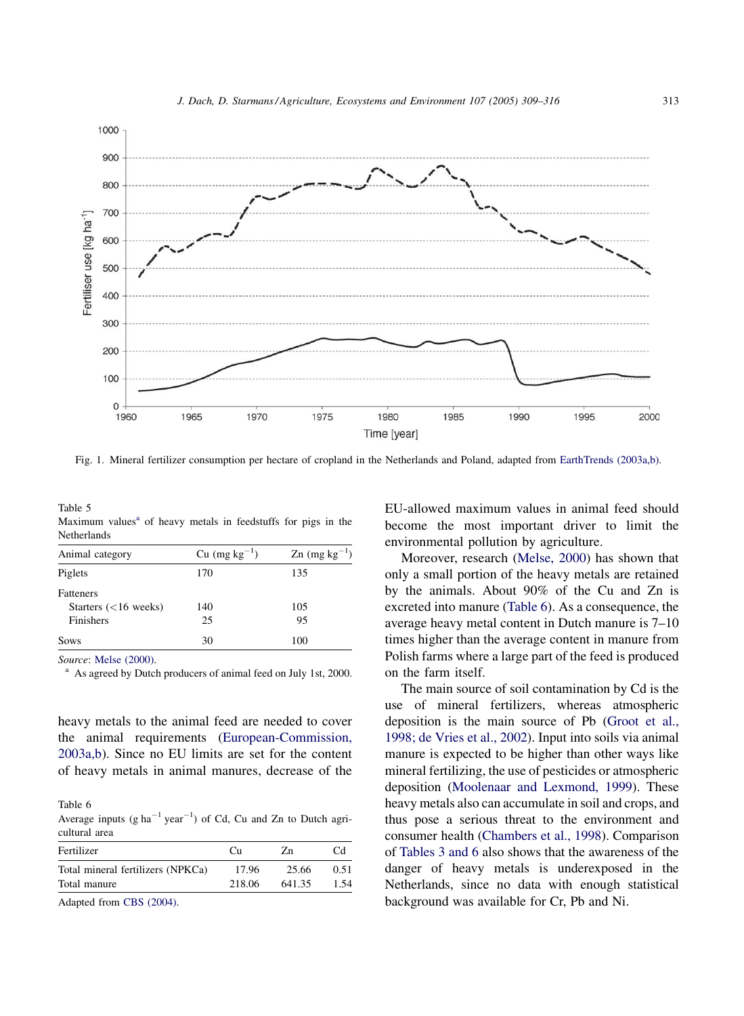<span id="page-4-0"></span>

Fig. 1. Mineral fertilizer consumption per hectare of cropland in the Netherlands and Poland, adapted from [EarthTrends \(2003a,b\)](#page-6-0).

Table 5 Maximum values<sup> $a$ </sup> of heavy metals in feedstuffs for pigs in the Netherlands

| Animal category                                         | Cu $(mg kg^{-1})$ | $\text{Zn}$ (mg kg <sup>-1</sup> ) |
|---------------------------------------------------------|-------------------|------------------------------------|
| Piglets                                                 | 170               | 135                                |
| <b>Fatteners</b><br>Starters $(<16$ weeks)<br>Finishers | 140<br>25         | 105<br>95                          |
| Sows                                                    | 30                | 100                                |

Source: [Melse \(2000\).](#page-7-0)<br><sup>a</sup> As agreed by Dutch producers of animal feed on July 1st, 2000.

heavy metals to the animal feed are needed to cover the animal requirements ([European-Commission,](#page-6-0) [2003a,b](#page-6-0)). Since no EU limits are set for the content of heavy metals in animal manures, decrease of the

Table 6

Average inputs  $(g ha^{-1} year^{-1})$  of Cd, Cu and Zn to Dutch agricultural area

| Fertilizer                        | Cп     | Zn     | Cd   |
|-----------------------------------|--------|--------|------|
| Total mineral fertilizers (NPKCa) | 17.96  | 25.66  | 0.51 |
| Total manure                      | 218.06 | 641.35 | 1.54 |

Adapted from [CBS \(2004\)](#page-6-0).

EU-allowed maximum values in animal feed should become the most important driver to limit the environmental pollution by agriculture.

Moreover, research ([Melse, 2000\)](#page-7-0) has shown that only a small portion of the heavy metals are retained by the animals. About 90% of the Cu and Zn is excreted into manure (Table 6). As a consequence, the average heavy metal content in Dutch manure is 7–10 times higher than the average content in manure from Polish farms where a large part of the feed is produced on the farm itself.

The main source of soil contamination by Cd is the use of mineral fertilizers, whereas atmospheric deposition is the main source of Pb [\(Groot et al.,](#page-6-0) [1998; de Vries et al., 2002\)](#page-6-0). Input into soils via animal manure is expected to be higher than other ways like mineral fertilizing, the use of pesticides or atmospheric deposition ([Moolenaar and Lexmond, 1999\)](#page-7-0). These heavy metals also can accumulate in soil and crops, and thus pose a serious threat to the environment and consumer health ([Chambers et al., 1998](#page-6-0)). Comparison of [Tables 3 and 6](#page-3-0) also shows that the awareness of the danger of heavy metals is underexposed in the Netherlands, since no data with enough statistical background was available for Cr, Pb and Ni.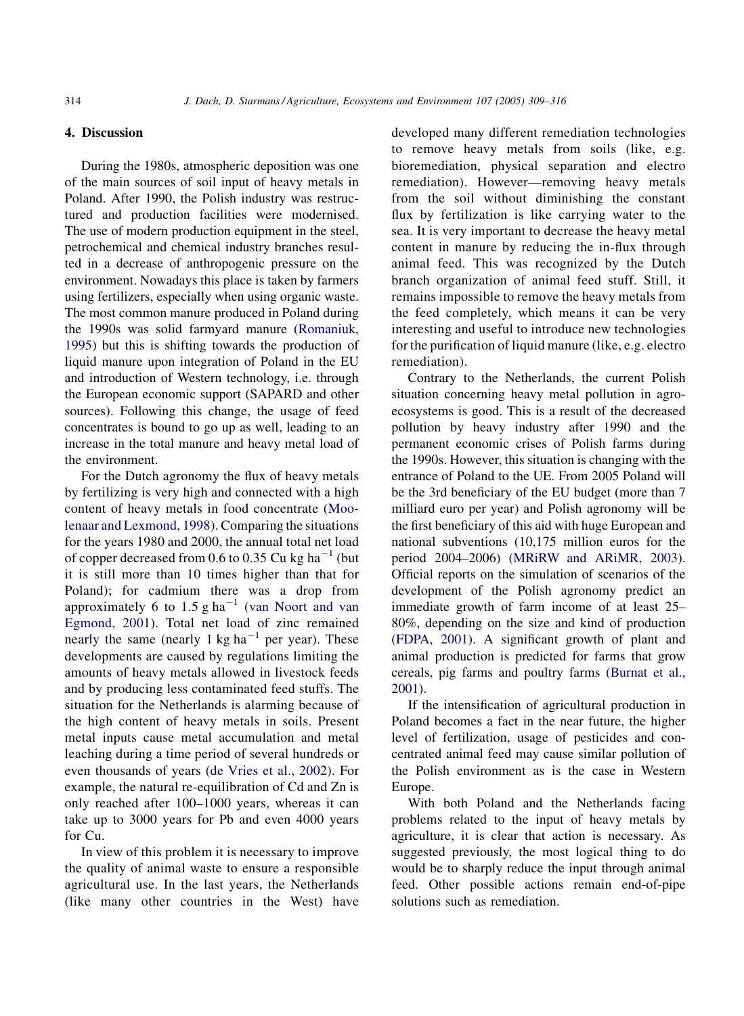## 4. Discussion

During the 1980s, atmospheric deposition was one of the main sources of soil input of heavy metals in Poland. After 1990, the Polish industry was restructured and production facilities were modernised. The use of modern production equipment in the steel, petrochemical and chemical industry branches resulted in a decrease of anthropogenic pressure on the environment. Nowadays this place is taken by farmers using fertilizers, especially when using organic waste. The most common manure produced in Poland during the 1990s was solid farmyard manure [\(Romaniuk,](#page-7-0) [1995](#page-7-0)) but this is shifting towards the production of liquid manure upon integration of Poland in the EU and introduction of Western technology, i.e. through the European economic support (SAPARD and other sources). Following this change, the usage of feed concentrates is bound to go up as well, leading to an increase in the total manure and heavy metal load of the environment.

For the Dutch agronomy the flux of heavy metals by fertilizing is very high and connected with a high content of heavy metals in food concentrate [\(Moo](#page-7-0)[lenaar and Lexmond, 1998](#page-7-0)). Comparing the situations for the years 1980 and 2000, the annual total net load of copper decreased from 0.6 to 0.35 Cu kg ha<sup>-1</sup> (but it is still more than 10 times higher than that for Poland); for cadmium there was a drop from approximately 6 to 1.5 g ha<sup>-1</sup> [\(van Noort and van](#page-7-0) [Egmond, 2001](#page-7-0)). Total net load of zinc remained nearly the same (nearly 1 kg ha<sup> $-1$ </sup> per year). These developments are caused by regulations limiting the amounts of heavy metals allowed in livestock feeds and by producing less contaminated feed stuffs. The situation for the Netherlands is alarming because of the high content of heavy metals in soils. Present metal inputs cause metal accumulation and metal leaching during a time period of several hundreds or even thousands of years ([de Vries et al., 2002](#page-6-0)). For example, the natural re-equilibration of Cd and Zn is only reached after 100–1000 years, whereas it can take up to 3000 years for Pb and even 4000 years for Cu.

In view of this problem it is necessary to improve the quality of animal waste to ensure a responsible agricultural use. In the last years, the Netherlands (like many other countries in the West) have developed many different remediation technologies to remove heavy metals from soils (like, e.g. bioremediation, physical separation and electro remediation). However—removing heavy metals from the soil without diminishing the constant flux by fertilization is like carrying water to the sea. It is very important to decrease the heavy metal content in manure by reducing the in-flux through animal feed. This was recognized by the Dutch branch organization of animal feed stuff. Still, it remains impossible to remove the heavy metals from the feed completely, which means it can be very interesting and useful to introduce new technologies for the purification of liquid manure (like, e.g. electro remediation).

Contrary to the Netherlands, the current Polish situation concerning heavy metal pollution in agroecosystems is good. This is a result of the decreased pollution by heavy industry after 1990 and the permanent economic crises of Polish farms during the 1990s. However, this situation is changing with the entrance of Poland to the UE. From 2005 Poland will be the 3rd beneficiary of the EU budget (more than 7 milliard euro per year) and Polish agronomy will be the first beneficiary of this aid with huge European and national subventions (10,175 million euros for the period 2004–2006) ([MRiRW and ARiMR, 2003\)](#page-7-0). Official reports on the simulation of scenarios of the development of the Polish agronomy predict an immediate growth of farm income of at least 25– 80%, depending on the size and kind of production ([FDPA, 2001](#page-6-0)). A significant growth of plant and animal production is predicted for farms that grow cereals, pig farms and poultry farms ([Burnat et al.,](#page-6-0) [2001](#page-6-0)).

If the intensification of agricultural production in Poland becomes a fact in the near future, the higher level of fertilization, usage of pesticides and concentrated animal feed may cause similar pollution of the Polish environment as is the case in Western Europe.

With both Poland and the Netherlands facing problems related to the input of heavy metals by agriculture, it is clear that action is necessary. As suggested previously, the most logical thing to do would be to sharply reduce the input through animal feed. Other possible actions remain end-of-pipe solutions such as remediation.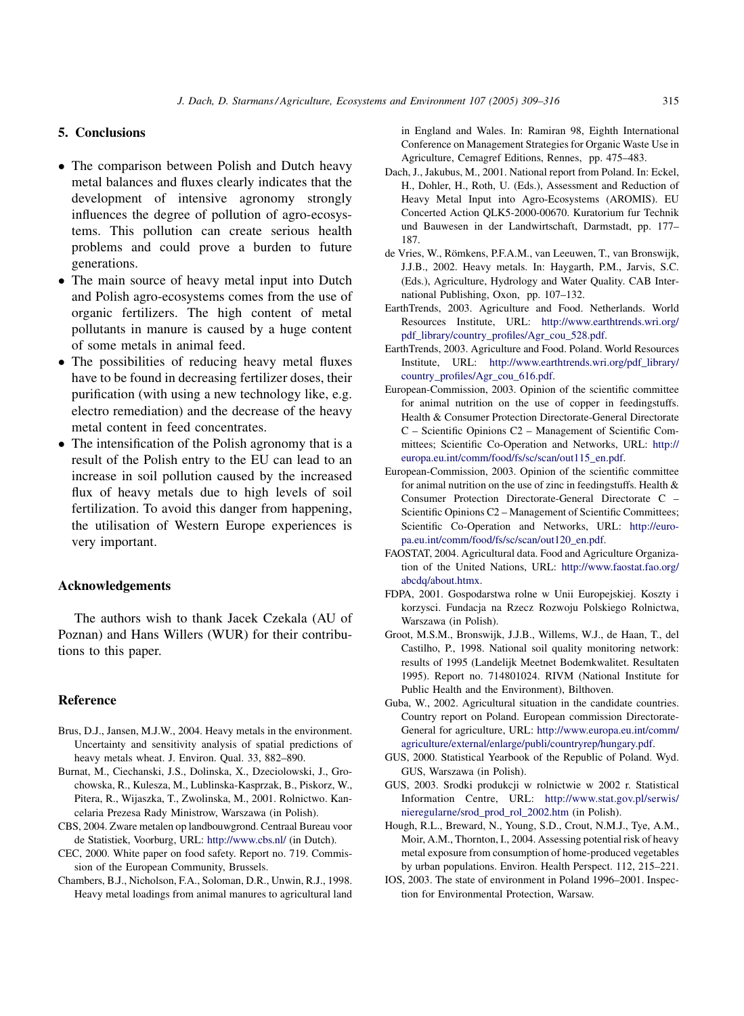## <span id="page-6-0"></span>5. Conclusions

- The comparison between Polish and Dutch heavy metal balances and fluxes clearly indicates that the development of intensive agronomy strongly influences the degree of pollution of agro-ecosystems. This pollution can create serious health problems and could prove a burden to future generations.
- The main source of heavy metal input into Dutch and Polish agro-ecosystems comes from the use of organic fertilizers. The high content of metal pollutants in manure is caused by a huge content of some metals in animal feed.
- The possibilities of reducing heavy metal fluxes have to be found in decreasing fertilizer doses, their purification (with using a new technology like, e.g. electro remediation) and the decrease of the heavy metal content in feed concentrates.
- The intensification of the Polish agronomy that is a result of the Polish entry to the EU can lead to an increase in soil pollution caused by the increased flux of heavy metals due to high levels of soil fertilization. To avoid this danger from happening, the utilisation of Western Europe experiences is very important.

## Acknowledgements

The authors wish to thank Jacek Czekala (AU of Poznan) and Hans Willers (WUR) for their contributions to this paper.

### Reference

- Brus, D.J., Jansen, M.J.W., 2004. Heavy metals in the environment. Uncertainty and sensitivity analysis of spatial predictions of heavy metals wheat. J. Environ. Qual. 33, 882–890.
- Burnat, M., Ciechanski, J.S., Dolinska, X., Dzeciolowski, J., Grochowska, R., Kulesza, M., Lublinska-Kasprzak, B., Piskorz, W., Pitera, R., Wijaszka, T., Zwolinska, M., 2001. Rolnictwo. Kancelaria Prezesa Rady Ministrow, Warszawa (in Polish).
- CBS, 2004. Zware metalen op landbouwgrond. Centraal Bureau voor de Statistiek, Voorburg, URL: <http://www.cbs.nl/> (in Dutch).
- CEC, 2000. White paper on food safety. Report no. 719. Commission of the European Community, Brussels.
- Chambers, B.J., Nicholson, F.A., Soloman, D.R., Unwin, R.J., 1998. Heavy metal loadings from animal manures to agricultural land

in England and Wales. In: Ramiran 98, Eighth International Conference on Management Strategies for Organic Waste Use in Agriculture, Cemagref Editions, Rennes, pp. 475–483.

- Dach, J., Jakubus, M., 2001. National report from Poland. In: Eckel, H., Dohler, H., Roth, U. (Eds.), Assessment and Reduction of Heavy Metal Input into Agro-Ecosystems (AROMIS). EU Concerted Action QLK5-2000-00670. Kuratorium fur Technik und Bauwesen in der Landwirtschaft, Darmstadt, pp. 177– 187.
- de Vries, W., Römkens, P.F.A.M., van Leeuwen, T., van Bronswijk, J.J.B., 2002. Heavy metals. In: Haygarth, P.M., Jarvis, S.C. (Eds.), Agriculture, Hydrology and Water Quality. CAB International Publishing, Oxon, pp. 107–132.
- EarthTrends, 2003. Agriculture and Food. Netherlands. World Resources Institute, URL: [http://www.earthtrends.wri.org/](http://www.earthtrends.wri.org/pdf_library/country_profiles/Agr_cou_528.pdf) [pdf\\_library/country\\_profiles/Agr\\_cou\\_528.pdf](http://www.earthtrends.wri.org/pdf_library/country_profiles/Agr_cou_528.pdf).
- EarthTrends, 2003. Agriculture and Food. Poland. World Resources Institute, URL: [http://www.earthtrends.wri.org/pdf\\_library/](http://www.earthtrends.wri.org/pdf_library/country_profiles/Agr_cou_616.pdf) [country\\_profiles/Agr\\_cou\\_616.pdf](http://www.earthtrends.wri.org/pdf_library/country_profiles/Agr_cou_616.pdf).
- European-Commission, 2003. Opinion of the scientific committee for animal nutrition on the use of copper in feedingstuffs. Health & Consumer Protection Directorate-General Directorate C – Scientific Opinions C2 – Management of Scientific Committees; Scientific Co-Operation and Networks, URL: [http://](http://europa.eu.int/comm/food/fs/sc/scan/out115_en.pdf) [europa.eu.int/comm/food/fs/sc/scan/out115\\_en.pdf.](http://europa.eu.int/comm/food/fs/sc/scan/out115_en.pdf)
- European-Commission, 2003. Opinion of the scientific committee for animal nutrition on the use of zinc in feedingstuffs. Health & Consumer Protection Directorate-General Directorate C – Scientific Opinions C2 – Management of Scientific Committees; Scientific Co-Operation and Networks, URL: [http://euro](http://europa.eu.int/comm/food/fs/sc/scan/out120_en.pdf)[pa.eu.int/comm/food/fs/sc/scan/out120\\_en.pdf.](http://europa.eu.int/comm/food/fs/sc/scan/out120_en.pdf)
- FAOSTAT, 2004. Agricultural data. Food and Agriculture Organization of the United Nations, URL: [http://www.faostat.fao.org/](http://www.faostat.fao.org/abcdq/about.htmx) [abcdq/about.htmx.](http://www.faostat.fao.org/abcdq/about.htmx)
- FDPA, 2001. Gospodarstwa rolne w Unii Europejskiej. Koszty i korzysci. Fundacja na Rzecz Rozwoju Polskiego Rolnictwa, Warszawa (in Polish).
- Groot, M.S.M., Bronswijk, J.J.B., Willems, W.J., de Haan, T., del Castilho, P., 1998. National soil quality monitoring network: results of 1995 (Landelijk Meetnet Bodemkwalitet. Resultaten 1995). Report no. 714801024. RIVM (National Institute for Public Health and the Environment), Bilthoven.
- Guba, W., 2002. Agricultural situation in the candidate countries. Country report on Poland. European commission Directorate-General for agriculture, URL: [http://www.europa.eu.int/comm/](http://www.europa.eu.int/comm/agriculture/external/enlarge/publi/countryrep/hungary.pdf) [agriculture/external/enlarge/publi/countryrep/hungary.pdf.](http://www.europa.eu.int/comm/agriculture/external/enlarge/publi/countryrep/hungary.pdf)
- GUS, 2000. Statistical Yearbook of the Republic of Poland. Wyd. GUS, Warszawa (in Polish).
- GUS, 2003. Srodki produkcji w rolnictwie w 2002 r. Statistical Information Centre, URL: [http://www.stat.gov.pl/serwis/](http://www.stat.gov.pl/serwis/nieregularne/srod_prod_rol_2002.htm) [nieregularne/srod\\_prod\\_rol\\_2002.htm](http://www.stat.gov.pl/serwis/nieregularne/srod_prod_rol_2002.htm) (in Polish).
- Hough, R.L., Breward, N., Young, S.D., Crout, N.M.J., Tye, A.M., Moir, A.M., Thornton, I., 2004. Assessing potential risk of heavy metal exposure from consumption of home-produced vegetables by urban populations. Environ. Health Perspect. 112, 215–221.
- IOS, 2003. The state of environment in Poland 1996–2001. Inspection for Environmental Protection, Warsaw.